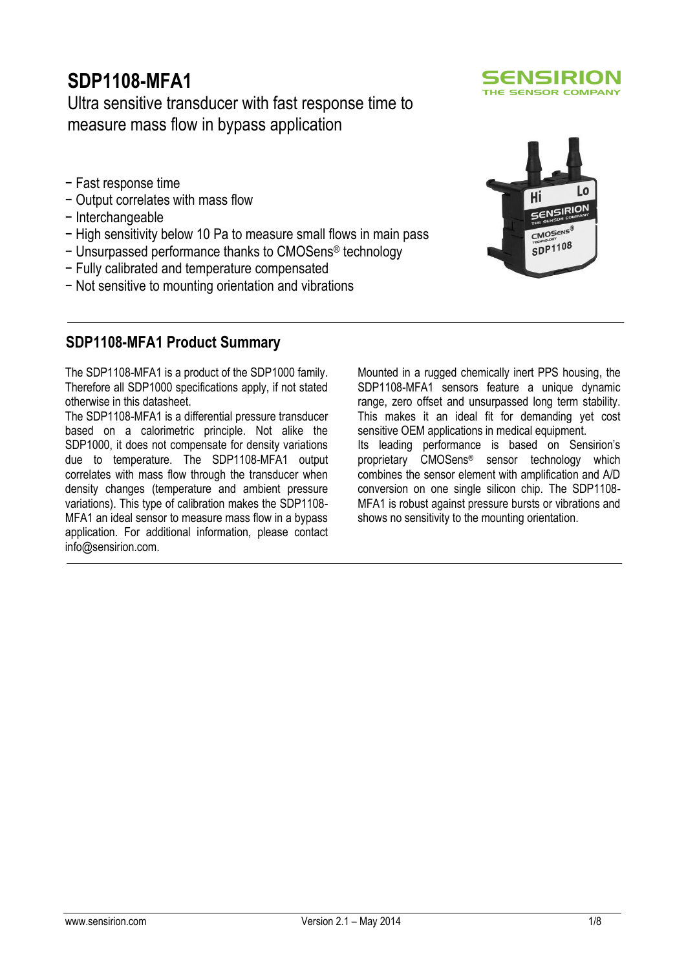# **SDP1108-MFA1**

## Ultra sensitive transducer with fast response time to measure mass flow in bypass application

- − Fast response time
- − Output correlates with mass flow
- − Interchangeable
- − High sensitivity below 10 Pa to measure small flows in main pass
- − Unsurpassed performance thanks to CMOSens® technology
- − Fully calibrated and temperature compensated
- − Not sensitive to mounting orientation and vibrations

### **SDP1108-MFA1 Product Summary**

The SDP1108-MFA1 is a product of the SDP1000 family. Therefore all SDP1000 specifications apply, if not stated otherwise in this datasheet.

The SDP1108-MFA1 is a differential pressure transducer based on a calorimetric principle. Not alike the SDP1000, it does not compensate for density variations due to temperature. The SDP1108-MFA1 output correlates with mass flow through the transducer when density changes (temperature and ambient pressure variations). This type of calibration makes the SDP1108- MFA1 an ideal sensor to measure mass flow in a bypass application. For additional information, please contact info@sensirion.com.

Mounted in a rugged chemically inert PPS housing, the SDP1108-MFA1 sensors feature a unique dynamic range, zero offset and unsurpassed long term stability. This makes it an ideal fit for demanding yet cost sensitive OEM applications in medical equipment. Its leading performance is based on Sensirion's proprietary CMOSens® sensor technology which combines the sensor element with amplification and A/D conversion on one single silicon chip. The SDP1108- MFA1 is robust against pressure bursts or vibrations and shows no sensitivity to the mounting orientation.



SENSIRION THE SENSOR COMPANY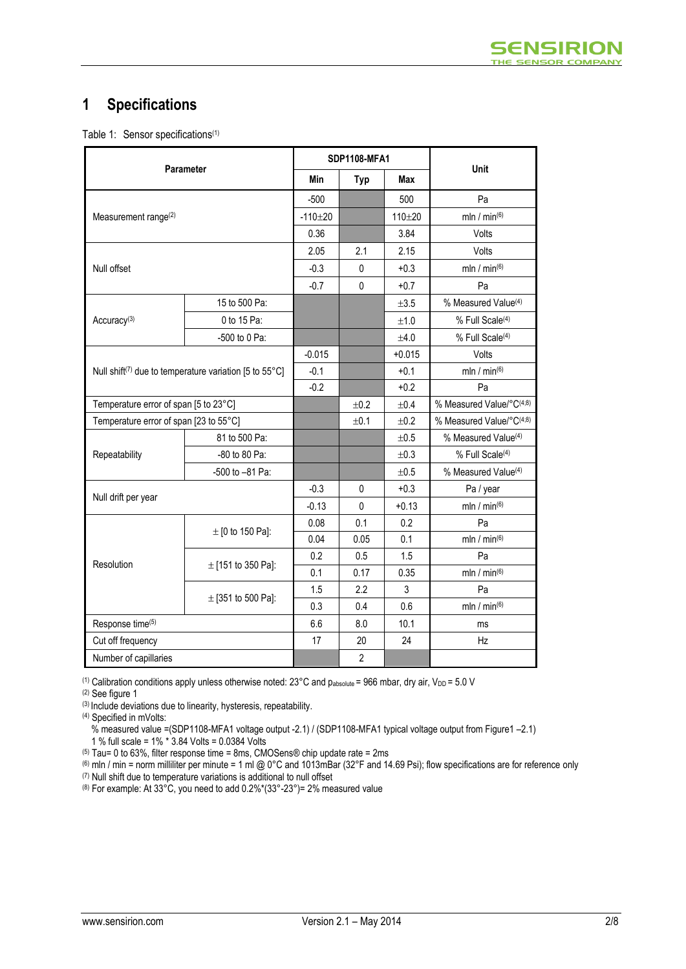## **1 Specifications**

Table 1: Sensor specifications<sup>(1)</sup>

| <b>Parameter</b>                       |                                                                    |                | <b>SDP1108-MFA1</b> |            |                                 |  |
|----------------------------------------|--------------------------------------------------------------------|----------------|---------------------|------------|---------------------------------|--|
|                                        | Min                                                                | <b>Typ</b>     | <b>Max</b>          | Unit       |                                 |  |
|                                        |                                                                    | $-500$         |                     | 500        | Pa                              |  |
| Measurement range <sup>(2)</sup>       |                                                                    | $-110 + 20$    |                     | $110 + 20$ | mln / $min^{(6)}$               |  |
|                                        |                                                                    | 0.36           |                     | 3.84       | Volts                           |  |
|                                        |                                                                    | 2.05           | 2.1                 | 2.15       | Volts                           |  |
| Null offset                            |                                                                    | $-0.3$         | $\mathbf{0}$        | $+0.3$     | mln / min $(6)$                 |  |
|                                        |                                                                    | $-0.7$         | $\mathbf 0$         | $+0.7$     | Pa                              |  |
|                                        | 15 to 500 Pa:                                                      |                |                     | $\pm 3.5$  | % Measured Value <sup>(4)</sup> |  |
| Accuracy <sup>(3)</sup>                | 0 to 15 Pa:                                                        |                |                     | $+1.0$     | % Full Scale <sup>(4)</sup>     |  |
|                                        | -500 to 0 Pa:                                                      |                |                     | $+4.0$     | % Full Scale <sup>(4)</sup>     |  |
|                                        |                                                                    | $-0.015$       |                     | $+0.015$   | Volts                           |  |
|                                        | Null shift <sup>(7)</sup> due to temperature variation [5 to 55°C] | $-0.1$         |                     | $+0.1$     | mln / min $(6)$                 |  |
|                                        |                                                                    | $-0.2$         |                     | $+0.2$     | Pa                              |  |
| Temperature error of span [5 to 23°C]  |                                                                    |                | ±0.2                | ±0.4       | % Measured Value/°C(4;8)        |  |
| Temperature error of span [23 to 55°C] |                                                                    |                | ±0.1                | ±0.2       | % Measured Value/°C(4;8)        |  |
|                                        | 81 to 500 Pa:                                                      |                |                     | ±0.5       | % Measured Value <sup>(4)</sup> |  |
| Repeatability                          | -80 to 80 Pa:                                                      |                |                     | ±0.3       | % Full Scale <sup>(4)</sup>     |  |
|                                        | -500 to -81 Pa:                                                    |                |                     | ±0.5       | % Measured Value <sup>(4)</sup> |  |
|                                        |                                                                    | $-0.3$         | 0                   | $+0.3$     | Pa / year                       |  |
| Null drift per year                    |                                                                    | $-0.13$        | $\Omega$            | $+0.13$    | mln / min $(6)$                 |  |
|                                        |                                                                    | 0.08           | 0.1                 | 0.2        | Pa                              |  |
|                                        | $\pm$ [0 to 150 Pa]:                                               | 0.04           | 0.05                | 0.1        | mln / min(6)                    |  |
|                                        |                                                                    | 0.2            | 0.5                 | 1.5        | Pa                              |  |
| Resolution                             | $\pm$ [151 to 350 Pa]:                                             | 0.1            | 0.17                | 0.35       | mln / $min^{(6)}$               |  |
|                                        | $\pm$ [351 to 500 Pa]:                                             | 1.5            | 2.2                 | 3          | Pa                              |  |
|                                        |                                                                    | 0.3            | 0.4                 | 0.6        | mln / min $(6)$                 |  |
| Response time(5)                       | 6.6                                                                | 8.0            | 10.1                | ms         |                                 |  |
| Cut off frequency                      | 17                                                                 | 20             | 24                  | Hz         |                                 |  |
| Number of capillaries                  |                                                                    | $\overline{2}$ |                     |            |                                 |  |

(1) Calibration conditions apply unless otherwise noted:  $23^{\circ}$ C and  $p_{absolute}$  = 966 mbar, dry air, V<sub>DD</sub> = 5.0 V

(2) See figure 1

(3) Include deviations due to linearity, hysteresis, repeatability.

(4) Specified in mVolts:

% measured value =(SDP1108-MFA1 voltage output -2.1) / (SDP1108-MFA1 typical voltage output from Figure1 –2.1)

1 % full scale = 1% \* 3.84 Volts = 0.0384 Volts

 $(5)$  Tau= 0 to 63%, filter response time = 8ms, CMOSens® chip update rate = 2ms

(6) mln / min = norm milliliter per minute = 1 ml @ 0°C and 1013mBar (32°F and 14.69 Psi); flow specifications are for reference only (7) Null shift due to temperature variations is additional to null offset

(8) For example: At 33°C, you need to add  $0.2\%$ \*(33°-23°)= 2% measured value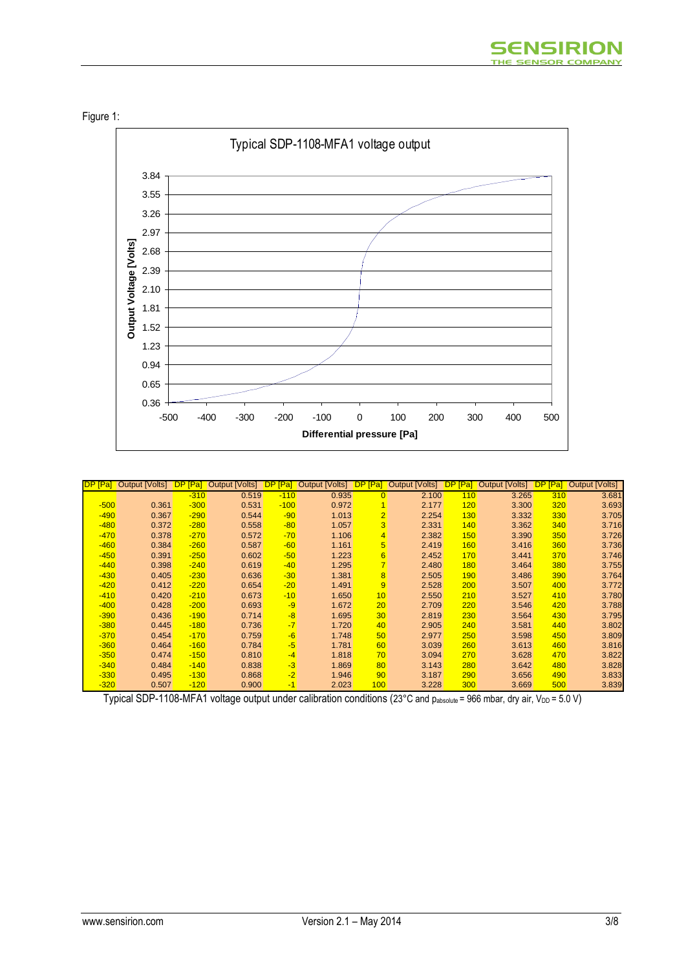





| IDP.<br>[Pa] | <b>Output [Volts]</b> | <b>DP</b><br>[Pa] | [Volts]<br>Output | [Pa]   | <b>Output [Volts]</b> | DP.<br>[Pa]     | <b>Volts]</b><br>Output [ | [Pa]<br><b>DP</b> | <b>Volts]</b><br>Output | <mark>.op</mark><br>[Pa] | <b>Output [Volts]</b> |
|--------------|-----------------------|-------------------|-------------------|--------|-----------------------|-----------------|---------------------------|-------------------|-------------------------|--------------------------|-----------------------|
|              |                       | $-310$            | 0.519             | $-110$ | 0.935                 | $\Omega$        | 2.100                     | 110               | 3.265                   | 310                      | 3.681                 |
| $-500$       | 0.361                 | $-300$            | 0.531             | $-100$ | 0.972                 |                 | 2.177                     | 120               | 3.300                   | 320                      | 3.693                 |
| $-490$       | 0.367                 | $-290$            | 0.544             | $-90$  | 1.013                 | $\overline{2}$  | 2.254                     | 130 <sub>2</sub>  | 3.332                   | 330                      | 3.705                 |
| $-480$       | 0.372                 | $-280$            | 0.558             | $-80$  | 1.057                 | 3               | 2.331                     | 140               | 3.362                   | 340                      | 3.716                 |
| $-470$       | 0.378                 | $-270$            | 0.572             | $-70$  | 1.106                 | 4               | 2.382                     | 150               | 3.390                   | 350                      | 3.726                 |
| $-460$       | 0.384                 | $-260$            | 0.587             | $-60$  | 1.161                 | $5\phantom{.0}$ | 2.419                     | 160               | 3.416                   | 360                      | 3.736                 |
| $-450$       | 0.391                 | $-250$            | 0.602             | $-50$  | 1.223                 | 6               | 2.452                     | 170               | 3.441                   | 370                      | 3.746                 |
| $-440$       | 0.398                 | $-240$            | 0.619             | $-40$  | 1.295                 | $\overline{7}$  | 2.480                     | 180               | 3.464                   | 380                      | 3.755                 |
| $-430$       | 0.405                 | $-230$            | 0.636             | $-30$  | 1.381                 | 8               | 2.505                     | 190               | 3.486                   | 390                      | 3.764                 |
| $-420$       | 0.412                 | $-220$            | 0.654             | $-20$  | 1.491                 | 9               | 2.528                     | 200               | 3.507                   | 400                      | 3.772                 |
| $-410$       | 0.420                 | $-210$            | 0.673             | $-10$  | 1.650                 | 10              | 2.550                     | 210               | 3.527                   | 410                      | 3.780                 |
| $-400$       | 0.428                 | $-200$            | 0.693             | $-9$   | 1.672                 | 20              | 2.709                     | 220               | 3.546                   | 420                      | 3.788                 |
| $-390$       | 0.436                 | $-190$            | 0.714             | $-8$   | 1.695                 | 30 <sup>°</sup> | 2.819                     | 230               | 3.564                   | 430                      | 3.795                 |
| $-380$       | 0.445                 | $-180$            | 0.736             | $-7$   | 1.720                 | 40              | 2.905                     | 240               | 3.581                   | 440                      | 3.802                 |
| $-370$       | 0.454                 | $-170$            | 0.759             | $-6$   | 1.748                 | 50              | 2.977                     | 250               | 3.598                   | 450                      | 3.809                 |
| $-360$       | 0.464                 | $-160$            | 0.784             | $-5$   | 1.781                 | 60              | 3.039                     | 260               | 3.613                   | 460                      | 3.816                 |
| $-350$       | 0.474                 | $-150$            | 0.810             | $-4$   | 1.818                 | 70              | 3.094                     | 270               | 3.628                   | 470                      | 3.822                 |
| $-340$       | 0.484                 | $-140$            | 0.838             | $-3$   | 1.869                 | 80              | 3.143                     | 280               | 3.642                   | 480                      | 3.828                 |
| $-330$       | 0.495                 | $-130$            | 0.868             | $-2$   | 1.946                 | 90              | 3.187                     | 290               | 3.656                   | 490                      | 3.833                 |
| $-320$       | 0.507                 | $-120$            | 0.900             | $-1$   | 2.023                 | 100             | 3.228                     | 300               | 3.669                   | 500                      | 3.839                 |

Typical SDP-1108-MFA1 voltage output under calibration conditions (23°C and pabsolute = 966 mbar, dry air, V<sub>DD</sub> = 5.0 V)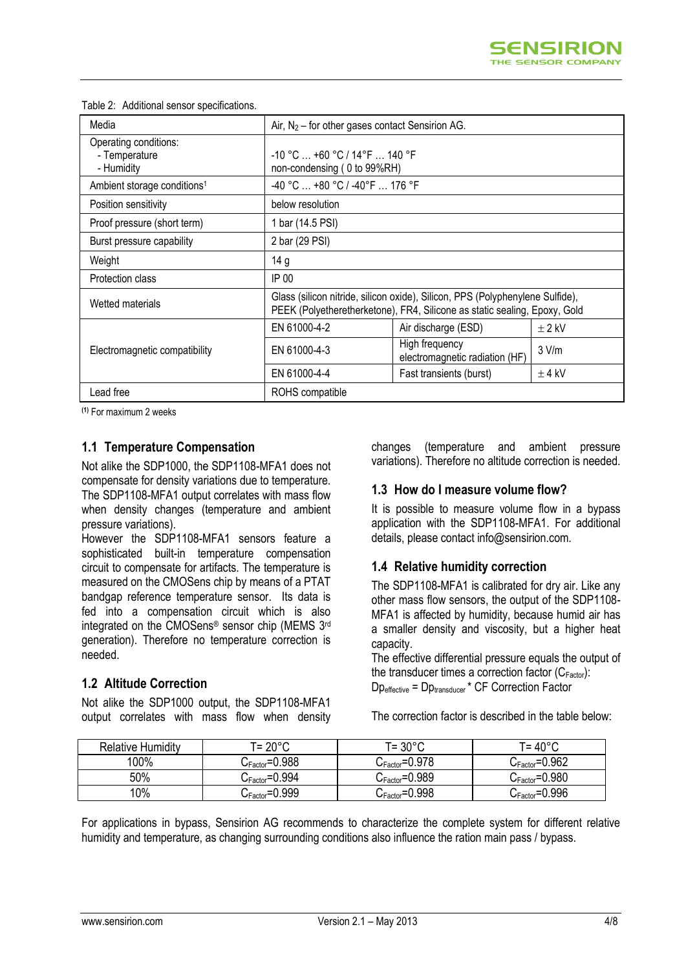| Media                                                |                                                                                                                                                            | Air, $N_2$ – for other gases contact Sensirion AG. |          |  |  |
|------------------------------------------------------|------------------------------------------------------------------------------------------------------------------------------------------------------------|----------------------------------------------------|----------|--|--|
| Operating conditions:<br>- Temperature<br>- Humidity | $-10$ °C $\ldots$ +60 °C / 14°F $\ldots$ 140 °F<br>non-condensing (0 to 99%RH)                                                                             |                                                    |          |  |  |
| Ambient storage conditions <sup>1</sup>              | -40 °C  +80 °C / -40°F  176 °F                                                                                                                             |                                                    |          |  |  |
| Position sensitivity                                 | below resolution                                                                                                                                           |                                                    |          |  |  |
| Proof pressure (short term)                          | 1 bar (14.5 PSI)                                                                                                                                           |                                                    |          |  |  |
| Burst pressure capability                            | 2 bar (29 PSI)                                                                                                                                             |                                                    |          |  |  |
| Weight                                               | 14 g                                                                                                                                                       |                                                    |          |  |  |
| Protection class                                     | IP 00                                                                                                                                                      |                                                    |          |  |  |
| Wetted materials                                     | Glass (silicon nitride, silicon oxide), Silicon, PPS (Polyphenylene Sulfide),<br>PEEK (Polyetheretherketone), FR4, Silicone as static sealing, Epoxy, Gold |                                                    |          |  |  |
|                                                      | EN 61000-4-2                                                                                                                                               | Air discharge (ESD)                                | $±$ 2 kV |  |  |
| Electromagnetic compatibility                        | EN 61000-4-3                                                                                                                                               | High frequency<br>electromagnetic radiation (HF)   | 3 V/m    |  |  |
|                                                      | EN 61000-4-4                                                                                                                                               | Fast transients (burst)                            | $±$ 4 kV |  |  |
| Lead free                                            | ROHS compatible                                                                                                                                            |                                                    |          |  |  |

#### Table 2: Additional sensor specifications.

**(1)** For maximum 2 weeks

#### **1.1 Temperature Compensation**

Not alike the SDP1000, the SDP1108-MFA1 does not compensate for density variations due to temperature. The SDP1108-MFA1 output correlates with mass flow when density changes (temperature and ambient pressure variations).

However the SDP1108-MFA1 sensors feature a sophisticated built-in temperature compensation circuit to compensate for artifacts. The temperature is measured on the CMOSens chip by means of a PTAT bandgap reference temperature sensor. Its data is fed into a compensation circuit which is also integrated on the CMOSens® sensor chip (MEMS 3rd generation). Therefore no temperature correction is needed.

### **1.2 Altitude Correction**

Not alike the SDP1000 output, the SDP1108-MFA1 output correlates with mass flow when density changes (temperature and ambient pressure variations). Therefore no altitude correction is needed.

#### **1.3 How do I measure volume flow?**

It is possible to measure volume flow in a bypass application with the SDP1108-MFA1. For additional details, please contact info@sensirion.com.

#### **1.4 Relative humidity correction**

The SDP1108-MFA1 is calibrated for dry air. Like any other mass flow sensors, the output of the SDP1108- MFA1 is affected by humidity, because humid air has a smaller density and viscosity, but a higher heat capacity.

The effective differential pressure equals the output of the transducer times a correction factor  $(C_{Factor})$ : Dpeffective = Dptransducer \* CF Correction Factor

The correction factor is described in the table below:

| <b>Relative Humidity</b> | ਾ= 20°C                      | T= 30°C                     | T= 40°C                     |
|--------------------------|------------------------------|-----------------------------|-----------------------------|
| $100\%$                  | $C_{\text{Factor}} = 0.988$  | $C_{\text{Factor}} = 0.978$ | $C_{\text{Factor}} = 0.962$ |
| 50%                      | ${\rm C_{Factor}}$ = $0.994$ | $C_{\text{Factor}} = 0.989$ | $C_{\text{Factor}} = 0.980$ |
| 10%                      | $C_{\text{Factor}} = 0.999$  | $C_{\text{Factor}}$ =0.998  | $C_{\text{Factor}} = 0.996$ |

For applications in bypass, Sensirion AG recommends to characterize the complete system for different relative humidity and temperature, as changing surrounding conditions also influence the ration main pass / bypass.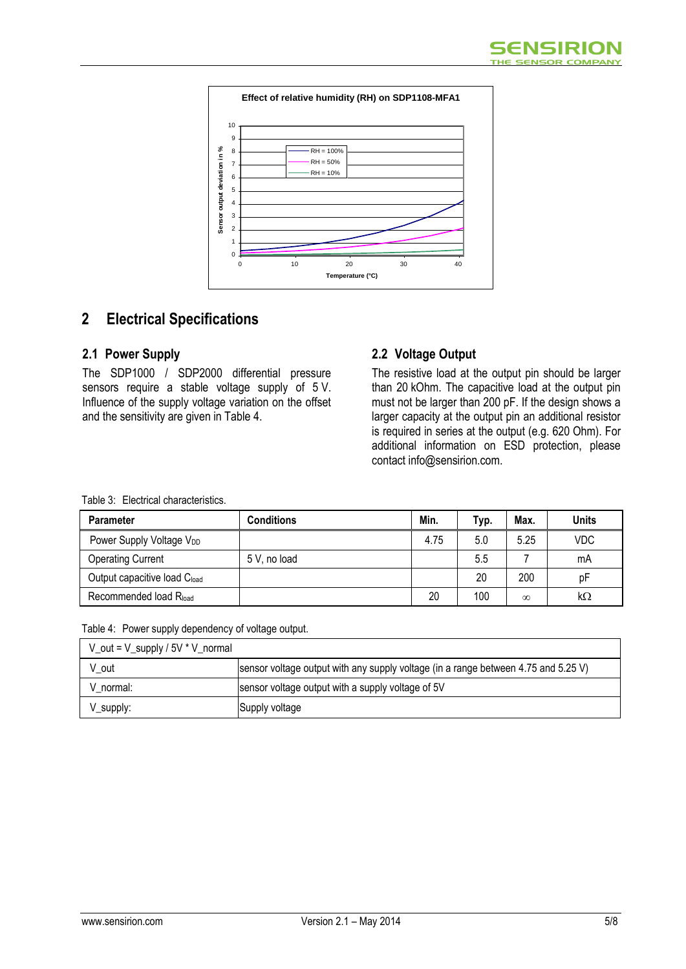

## **2 Electrical Specifications**

### **2.1 Power Supply**

The SDP1000 / SDP2000 differential pressure sensors require a stable voltage supply of 5 V. Influence of the supply voltage variation on the offset and the sensitivity are given in Table 4.

### **2.2 Voltage Output**

The resistive load at the output pin should be larger than 20 kOhm. The capacitive load at the output pin must not be larger than 200 pF. If the design shows a larger capacity at the output pin an additional resistor is required in series at the output (e.g. 620 Ohm). For additional information on ESD protection, please contact info@sensirion.com.

| <b>Parameter</b>                     | Conditions   | Min. | Typ. | Max.     | <b>Units</b> |
|--------------------------------------|--------------|------|------|----------|--------------|
| Power Supply Voltage V <sub>DD</sub> |              | 4.75 | 5.0  | 5.25     | <b>VDC</b>   |
| Operating Current                    | 5 V, no load |      | 5.5  |          | mA           |
| Output capacitive load Cload         |              |      | 20   | 200      | рF           |
| Recommended load R <sub>load</sub>   |              | 20   | 100  | $\infty$ | kΩ           |

Table 3: Electrical characteristics.

|  |  |  | Table 4: Power supply dependency of voltage output. |
|--|--|--|-----------------------------------------------------|
|--|--|--|-----------------------------------------------------|

| V_out = V_supply / 5V * V_normal |                                                                                    |
|----------------------------------|------------------------------------------------------------------------------------|
| V out                            | sensor voltage output with any supply voltage (in a range between 4.75 and 5.25 V) |
| V normal:                        | sensor voltage output with a supply voltage of 5V                                  |
| V_supply:                        | Supply voltage                                                                     |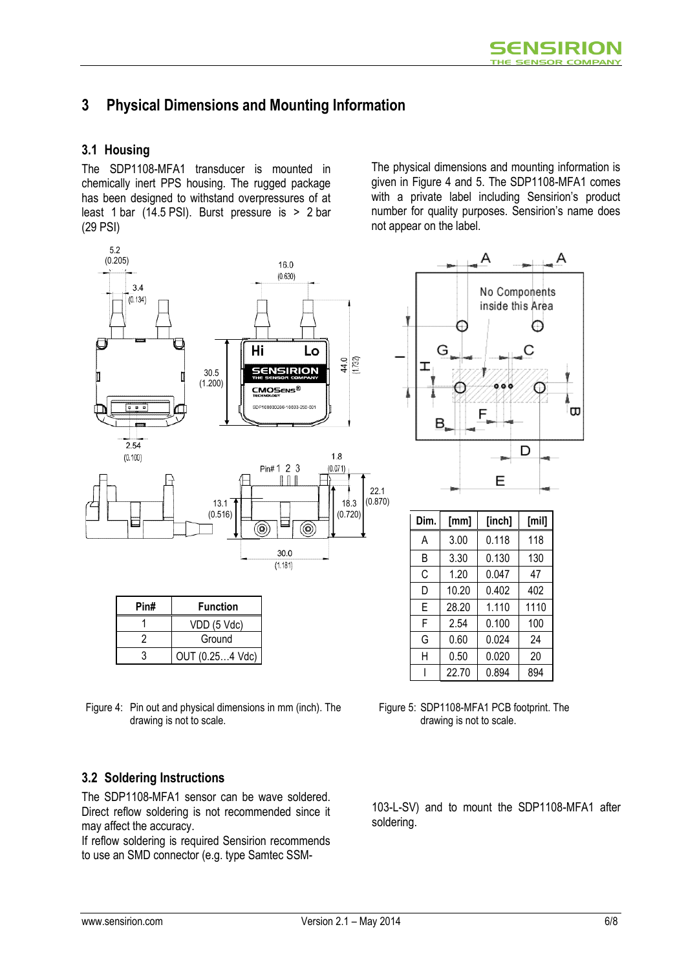## **3 Physical Dimensions and Mounting Information**

### **3.1 Housing**

The SDP1108-MFA1 transducer is mounted in chemically inert PPS housing. The rugged package has been designed to withstand overpressures of at least 1 bar (14.5 PSI). Burst pressure is > 2 bar (29 PSI)

The physical dimensions and mounting information is given in Figure 4 and 5. The SDP1108-MFA1 comes with a private label including Sensirion's product number for quality purposes. Sensirion's name does not appear on the label.



| Pin# | <b>Function</b> |
|------|-----------------|
|      | VDD (5 Vdc)     |
|      | Ground          |
|      | OUT (0.254 Vdc) |

Figure 4: Pin out and physical dimensions in mm (inch). The drawing is not to scale.

### **3.2 Soldering Instructions**

The SDP1108-MFA1 sensor can be wave soldered. Direct reflow soldering is not recommended since it may affect the accuracy.

If reflow soldering is required Sensirion recommends to use an SMD connector (e.g. type Samtec SSM-



| Dim. | [mm]  | [inch] | [min] |
|------|-------|--------|-------|
| A    | 3.00  | 0.118  | 118   |
| B    | 3.30  | 0.130  | 130   |
| С    | 1.20  | 0.047  | 47    |
| D    | 10.20 | 0.402  | 402   |
| Е    | 28.20 | 1.110  | 1110  |
| F    | 2.54  | 0.100  | 100   |
| G    | 0.60  | 0.024  | 24    |
| Н    | 0.50  | 0.020  | 20    |
|      | 22.70 | 0.894  | 894   |

Figure 5: SDP1108-MFA1 PCB footprint. The drawing is not to scale.

103-L-SV) and to mount the SDP1108-MFA1 after soldering.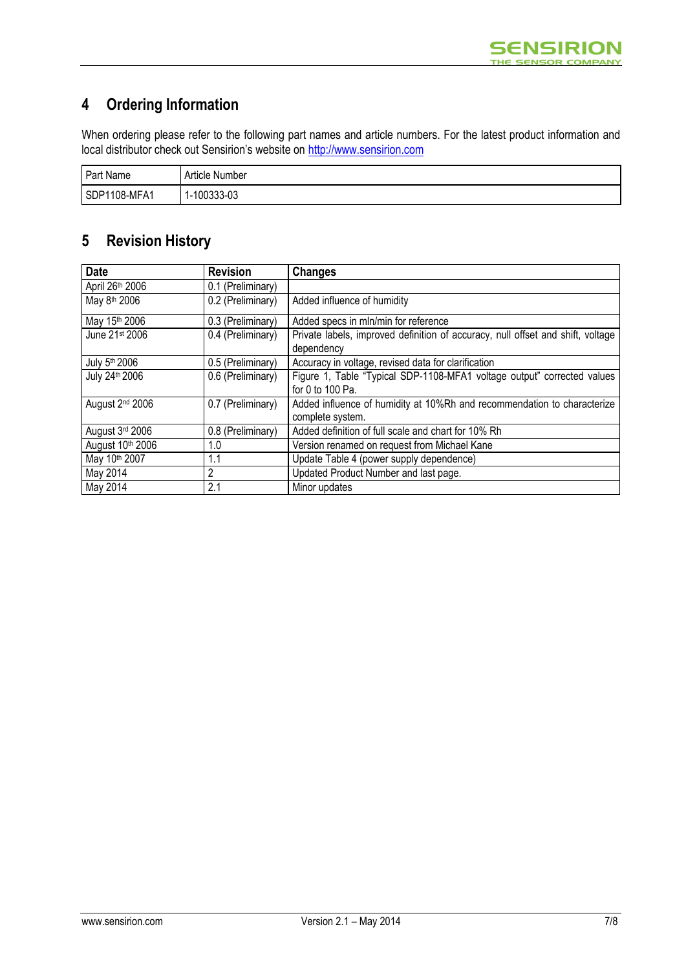## **4 Ordering Information**

When ordering please refer to the following part names and article numbers. For the latest product information and local distributor check out Sensirion's website on http://www.sensirion.com

| Part Name    | Article Number  |
|--------------|-----------------|
| SDP1108-MFA1 | 00333-03<br>- 1 |

## **5 Revision History**

| <b>Date</b>                 | <b>Revision</b>   | <b>Changes</b>                                                                  |
|-----------------------------|-------------------|---------------------------------------------------------------------------------|
| April 26th 2006             | 0.1 (Preliminary) |                                                                                 |
| May 8 <sup>th</sup> 2006    | 0.2 (Preliminary) | Added influence of humidity                                                     |
| May 15th 2006               | 0.3 (Preliminary) | Added specs in mln/min for reference                                            |
| June 21st 2006              | 0.4 (Preliminary) | Private labels, improved definition of accuracy, null offset and shift, voltage |
|                             |                   | dependency                                                                      |
| July 5th 2006               | 0.5 (Preliminary) | Accuracy in voltage, revised data for clarification                             |
| July 24th 2006              | 0.6 (Preliminary) | Figure 1, Table "Typical SDP-1108-MFA1 voltage output" corrected values         |
|                             |                   | for 0 to 100 Pa.                                                                |
| August 2 <sup>nd</sup> 2006 | 0.7 (Preliminary) | Added influence of humidity at 10%Rh and recommendation to characterize         |
|                             |                   | complete system.                                                                |
| August 3rd 2006             | 0.8 (Preliminary) | Added definition of full scale and chart for 10% Rh                             |
| August 10th 2006            | 1.0               | Version renamed on request from Michael Kane                                    |
| May 10th 2007               | 1.1               | Update Table 4 (power supply dependence)                                        |
| May 2014                    | 2                 | Updated Product Number and last page.                                           |
| May 2014                    | 2.1               | Minor updates                                                                   |